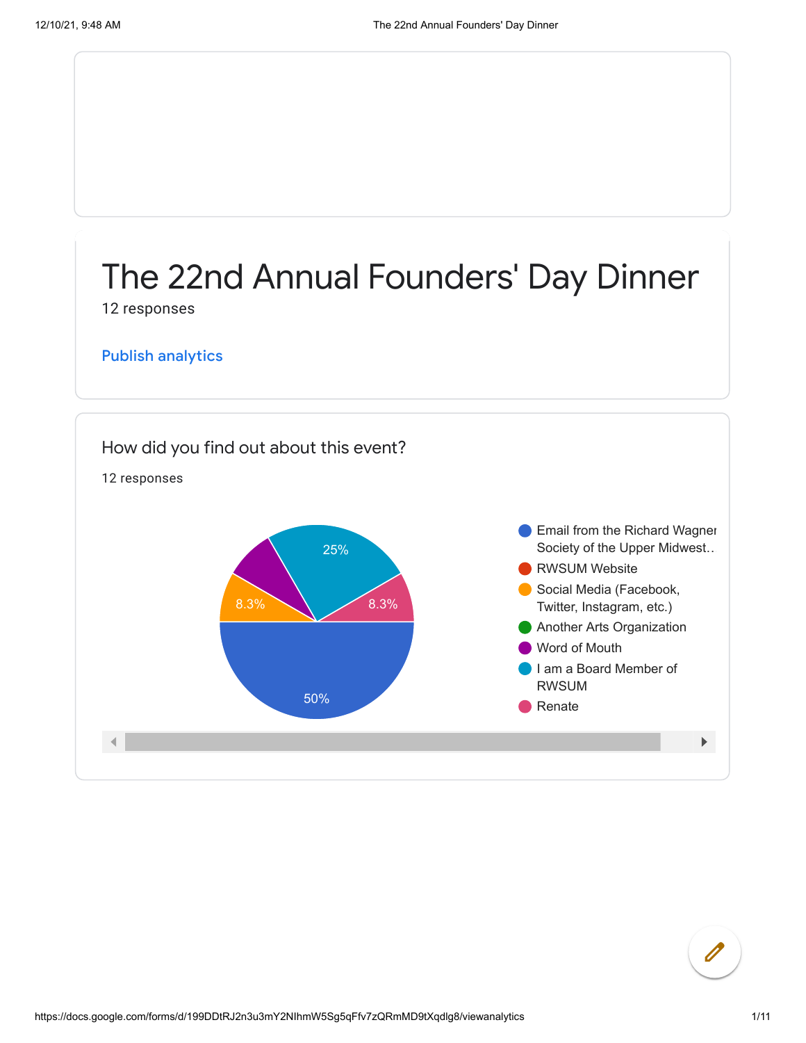

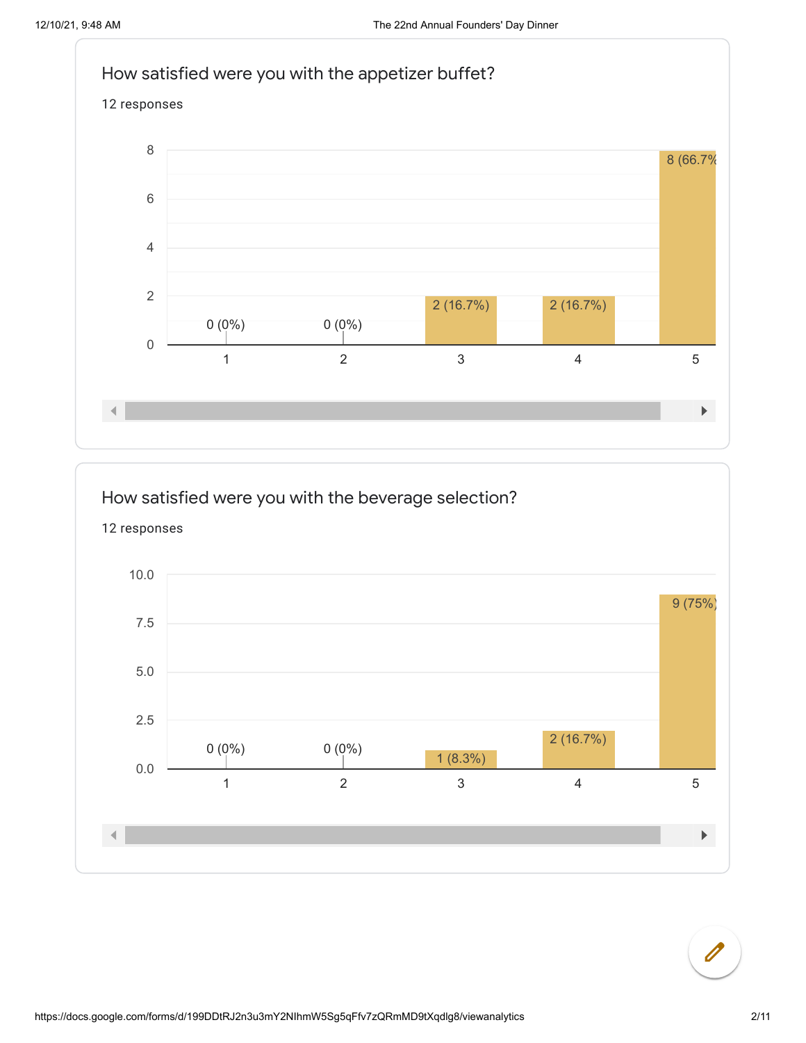



 $\overline{\mathscr{O}}$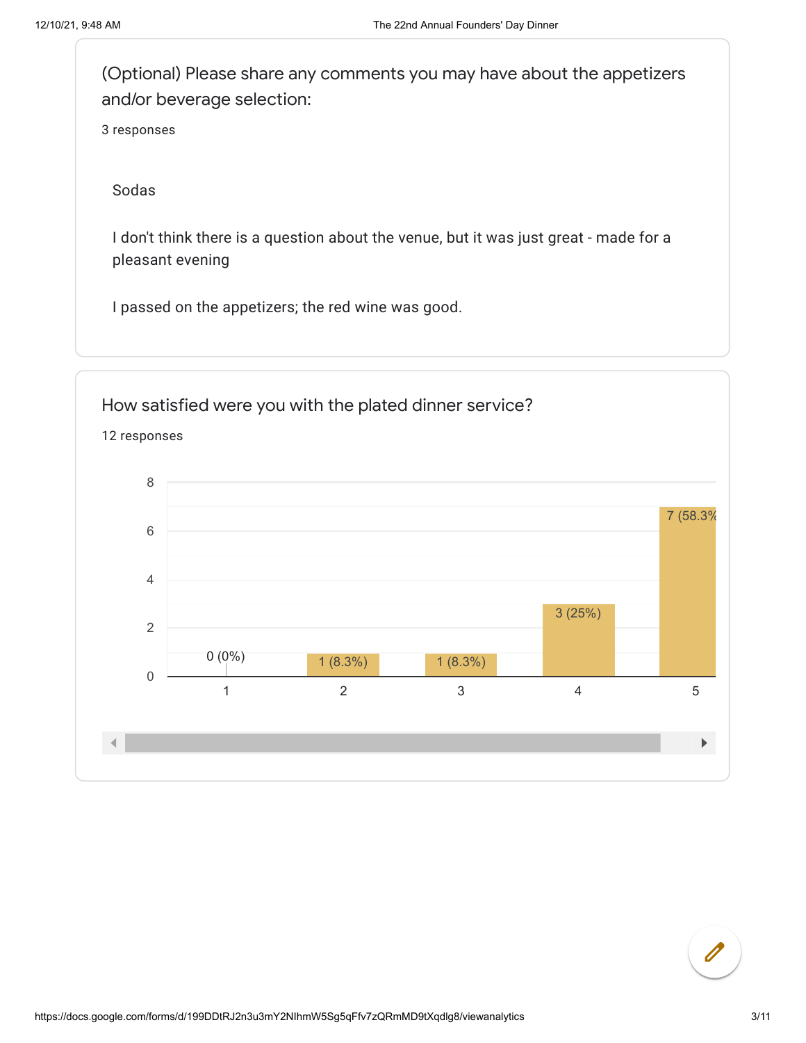(Optional) Please share any comments you may have about the appetizers and/or beverage selection:

3 responses

Sodas

I don't think there is a question about the venue, but it was just great - made for a pleasant evening

I passed on the appetizers; the red wine was good.

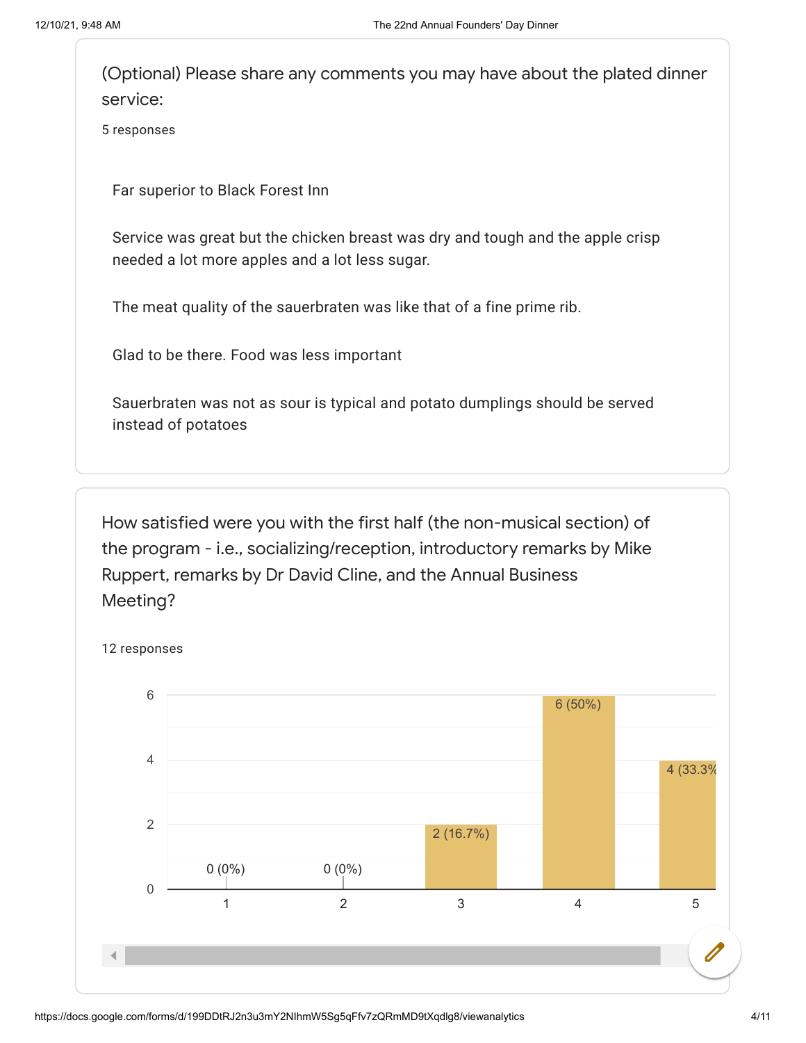(Optional) Please share any comments you may have about the plated dinner service:

5 responses

Far superior to Black Forest Inn

Service was great but the chicken breast was dry and tough and the apple crisp needed a lot more apples and a lot less sugar.

The meat quality of the sauerbraten was like that of a fine prime rib.

Glad to be there. Food was less important

Sauerbraten was not as sour is typical and potato dumplings should be served instead of potatoes

How satisfied were you with the first half (the non-musical section) of the program - i.e., socializing/reception, introductory remarks by Mike Ruppert, remarks by Dr David Cline, and the Annual Business Meeting?

12 responses

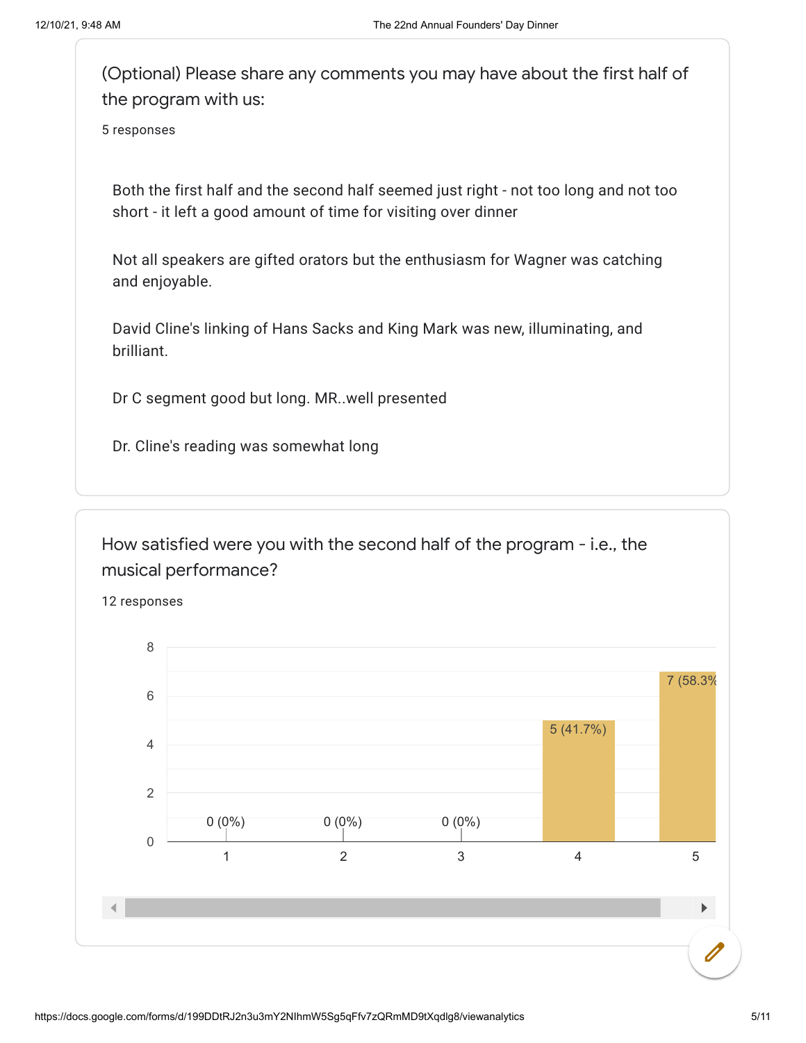| (Optional) Please share any comments you may have about the first half of |
|---------------------------------------------------------------------------|
| the program with us:                                                      |
| 5 responses                                                               |
|                                                                           |

Both the first half and the second half seemed just right - not too long and not too short - it left a good amount of time for visiting over dinner

Not all speakers are gifted orators but the enthusiasm for Wagner was catching and enjoyable.

David Cline's linking of Hans Sacks and King Mark was new, illuminating, and brilliant.

Dr C segment good but long. MR..well presented

Dr. Cline's reading was somewhat long

How satisfied were you with the second half of the program - i.e., the musical performance?

12 responses

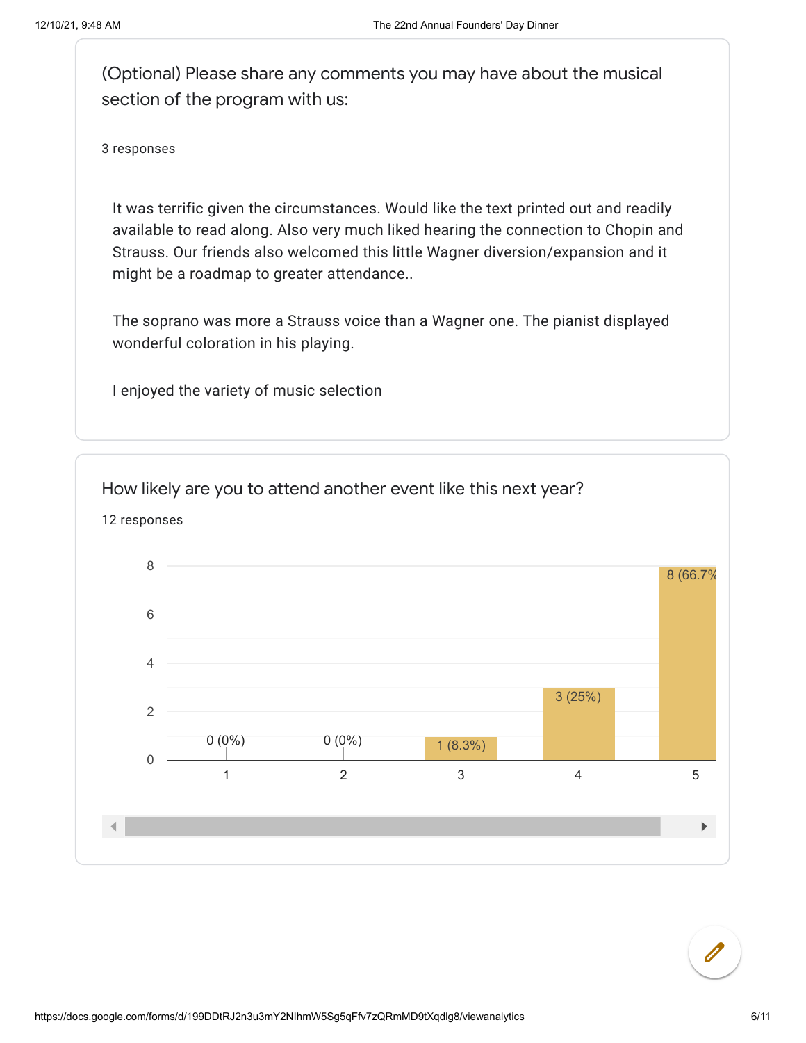(Optional) Please share any comments you may have about the musical section of the program with us:

3 responses

It was terrific given the circumstances. Would like the text printed out and readily available to read along. Also very much liked hearing the connection to Chopin and Strauss. Our friends also welcomed this little Wagner diversion/expansion and it might be a roadmap to greater attendance..

The soprano was more a Strauss voice than a Wagner one. The pianist displayed wonderful coloration in his playing.

I enjoyed the variety of music selection



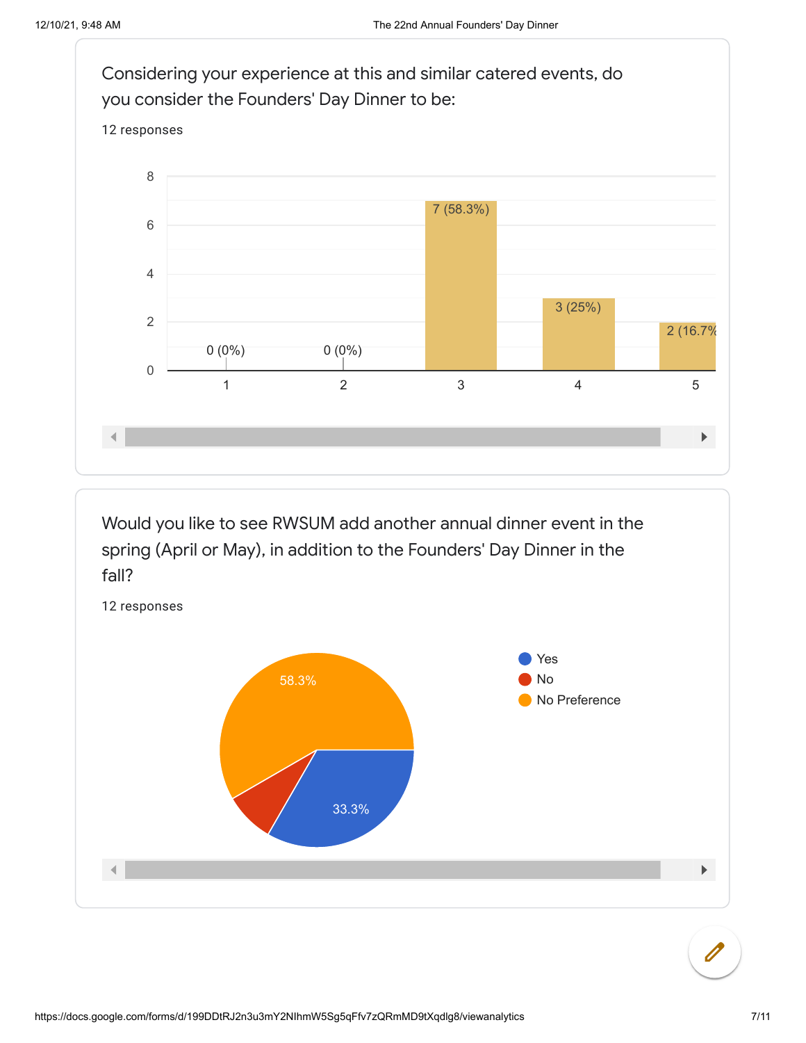

Would you like to see RWSUM add another annual dinner event in the spring (April or May), in addition to the Founders' Day Dinner in the fall?



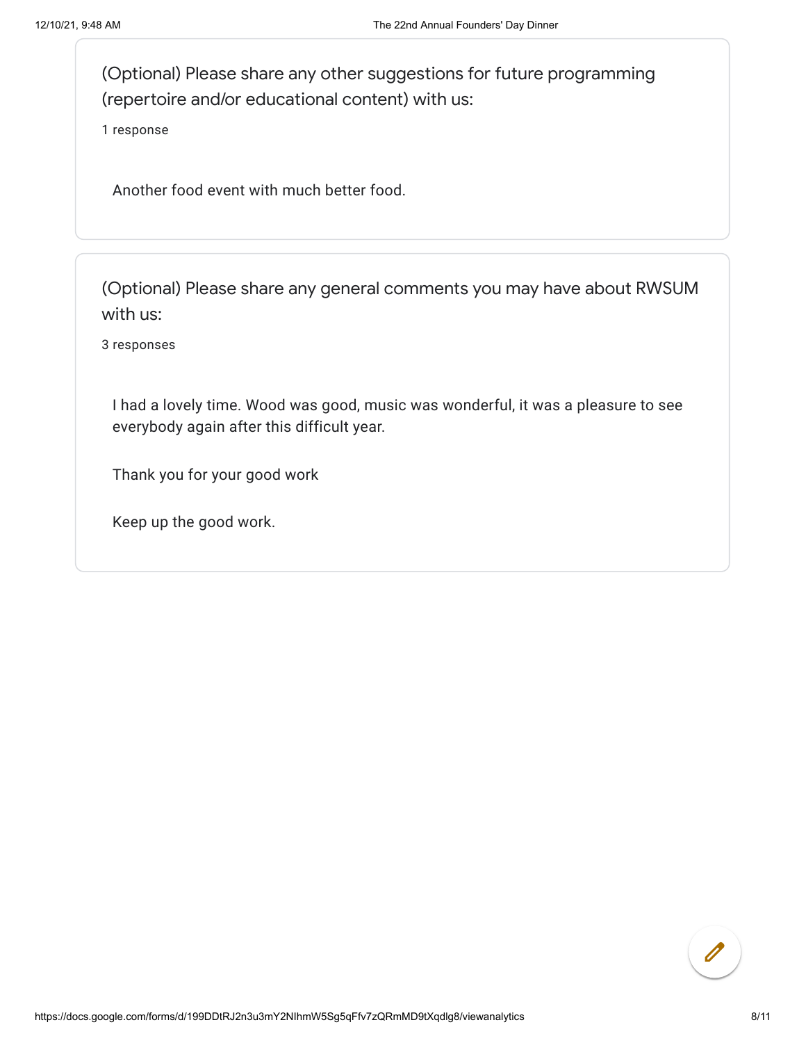(Optional) Please share any other suggestions for future programming (repertoire and/or educational content) with us:

1 response

Another food event with much better food.

(Optional) Please share any general comments you may have about RWSUM with us:

3 responses

I had a lovely time. Wood was good, music was wonderful, it was a pleasure to see everybody again after this difficult year.

Thank you for your good work

Keep up the good work.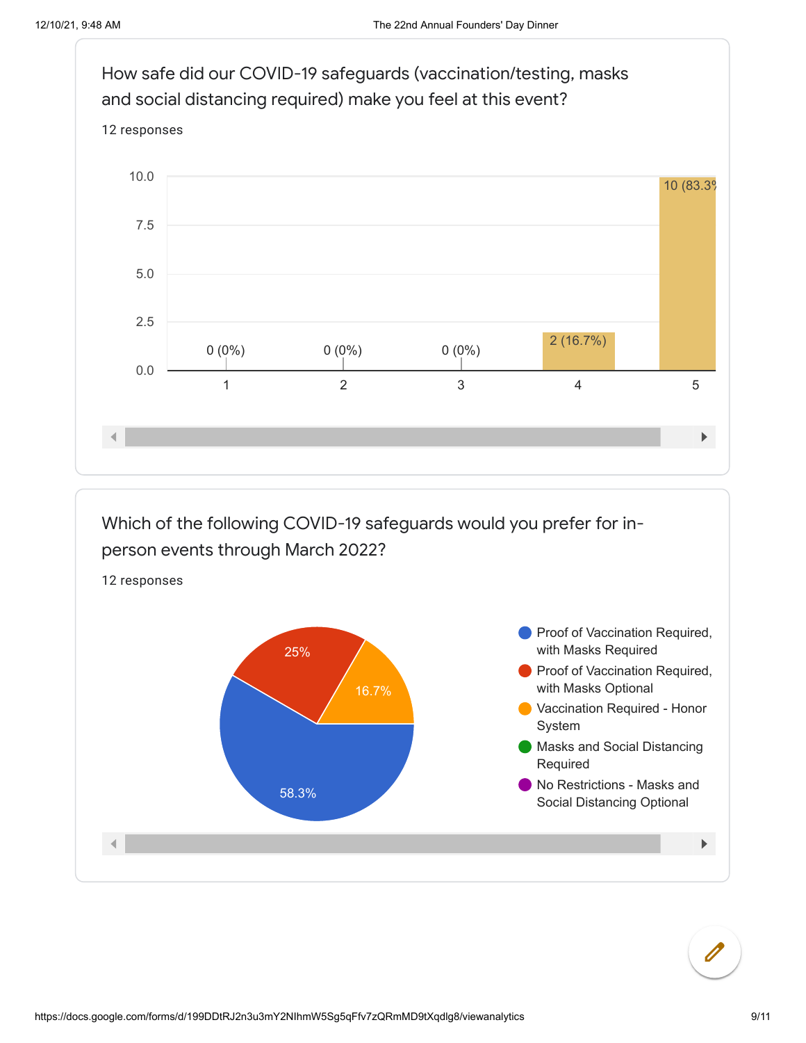

Which of the following COVID-19 safeguards would you prefer for inperson events through March 2022?